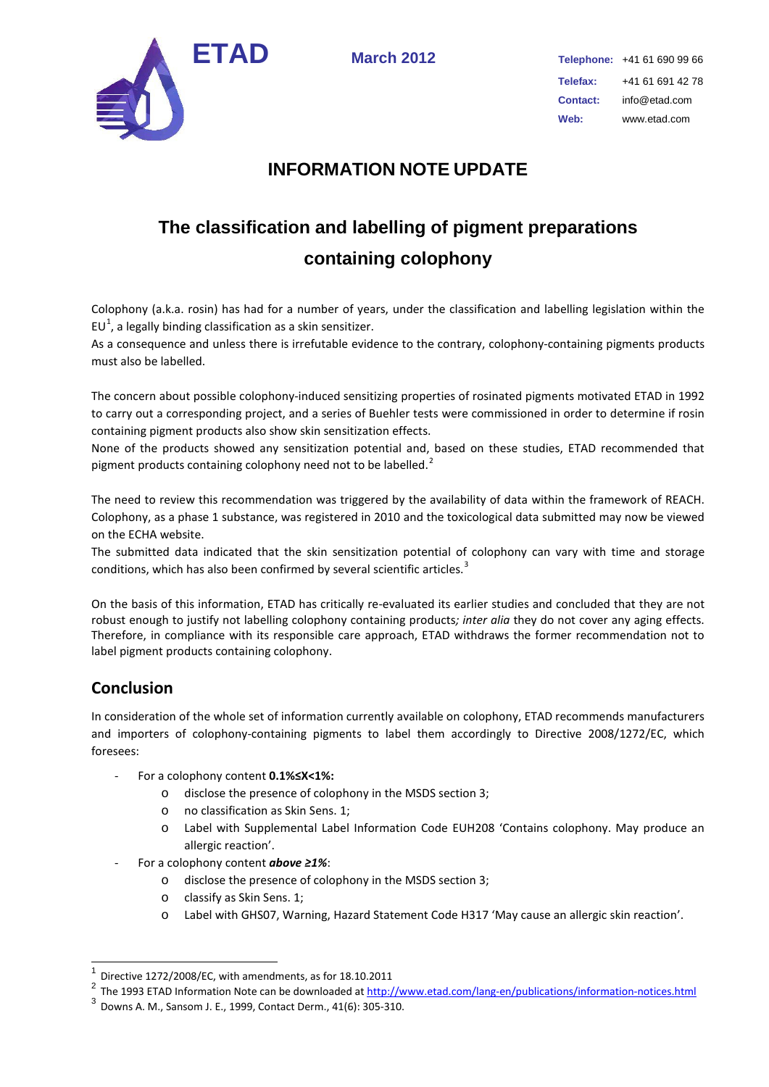

## **INFORMATION NOTE UPDATE**

## **The classification and labelling of pigment preparations containing colophony**

Colophony (a.k.a. rosin) has had for a number of years, under the classification and labelling legislation within the  $EU^1$  $EU^1$ , a legally binding classification as a skin sensitizer.

As a consequence and unless there is irrefutable evidence to the contrary, colophony-containing pigments products must also be labelled.

The concern about possible colophony-induced sensitizing properties of rosinated pigments motivated ETAD in 1992 to carry out a corresponding project, and a series of Buehler tests were commissioned in order to determine if rosin containing pigment products also show skin sensitization effects.

None of the products showed any sensitization potential and, based on these studies, ETAD recommended that pigment products containing colophony need not to be labelled.<sup>[2](#page-0-1)</sup>

The need to review this recommendation was triggered by the availability of data within the framework of REACH. Colophony, as a phase 1 substance, was registered in 2010 and the toxicological data submitted may now be viewed on the ECHA website.

The submitted data indicated that the skin sensitization potential of colophony can vary with time and storage conditions, which has also been confirmed by several scientific articles.<sup>[3](#page-0-2)</sup>

On the basis of this information, ETAD has critically re-evaluated its earlier studies and concluded that they are not robust enough to justify not labelling colophony containing products*; inter alia* they do not cover any aging effects. Therefore, in compliance with its responsible care approach, ETAD withdraws the former recommendation not to label pigment products containing colophony.

## **Conclusion**

In consideration of the whole set of information currently available on colophony, ETAD recommends manufacturers and importers of colophony-containing pigments to label them accordingly to Directive 2008/1272/EC, which foresees:

- For a colophony content **0.1%≤X<1%:**
	- o disclose the presence of colophony in the MSDS section 3;
	- o no classification as Skin Sens. 1;
	- o Label with Supplemental Label Information Code EUH208 'Contains colophony. May produce an allergic reaction'.
- For a colophony content *above ≥1%*:
	- o disclose the presence of colophony in the MSDS section 3;
	- o classify as Skin Sens. 1;
	- o Label with GHS07, Warning, Hazard Statement Code H317 'May cause an allergic skin reaction'.

<span id="page-0-0"></span>Directive 1272/2008/EC, with amendments, as for 18.10.2011

<span id="page-0-1"></span><sup>&</sup>lt;sup>2</sup> The 1993 ETAD Information Note can be downloaded a[t http://www.etad.com/lang-en/publications/information-notices.html](http://www.etad.com/lang-en/publications/information-notices.html)

<span id="page-0-2"></span><sup>3</sup> Downs A. M., Sansom J. E., 1999, Contact Derm., 41(6): 305-310.